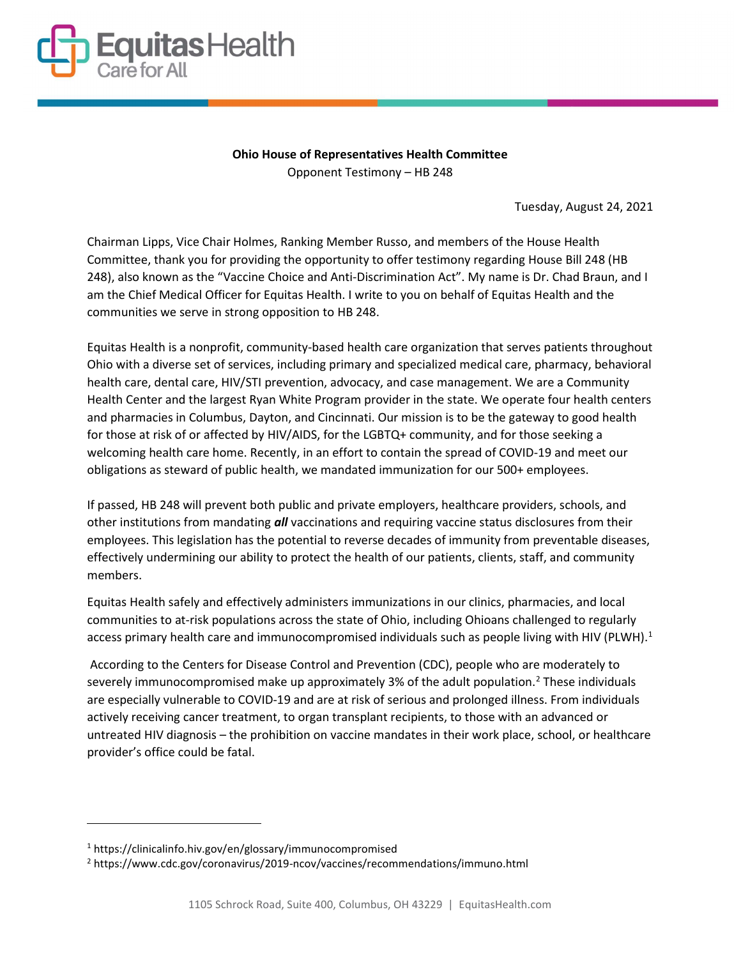

Ohio House of Representatives Health Committee Opponent Testimony – HB 248

Tuesday, August 24, 2021

Chairman Lipps, Vice Chair Holmes, Ranking Member Russo, and members of the House Health Committee, thank you for providing the opportunity to offer testimony regarding House Bill 248 (HB 248), also known as the "Vaccine Choice and Anti-Discrimination Act". My name is Dr. Chad Braun, and I am the Chief Medical Officer for Equitas Health. I write to you on behalf of Equitas Health and the communities we serve in strong opposition to HB 248.

Equitas Health is a nonprofit, community-based health care organization that serves patients throughout Ohio with a diverse set of services, including primary and specialized medical care, pharmacy, behavioral health care, dental care, HIV/STI prevention, advocacy, and case management. We are a Community Health Center and the largest Ryan White Program provider in the state. We operate four health centers and pharmacies in Columbus, Dayton, and Cincinnati. Our mission is to be the gateway to good health for those at risk of or affected by HIV/AIDS, for the LGBTQ+ community, and for those seeking a welcoming health care home. Recently, in an effort to contain the spread of COVID-19 and meet our obligations as steward of public health, we mandated immunization for our 500+ employees.

If passed, HB 248 will prevent both public and private employers, healthcare providers, schools, and other institutions from mandating **all** vaccinations and requiring vaccine status disclosures from their employees. This legislation has the potential to reverse decades of immunity from preventable diseases, effectively undermining our ability to protect the health of our patients, clients, staff, and community members.

Equitas Health safely and effectively administers immunizations in our clinics, pharmacies, and local communities to at-risk populations across the state of Ohio, including Ohioans challenged to regularly access primary health care and immunocompromised individuals such as people living with HIV (PLWH).<sup>1</sup>

 According to the Centers for Disease Control and Prevention (CDC), people who are moderately to severely immunocompromised make up approximately 3% of the adult population.<sup>2</sup> These individuals are especially vulnerable to COVID-19 and are at risk of serious and prolonged illness. From individuals actively receiving cancer treatment, to organ transplant recipients, to those with an advanced or untreated HIV diagnosis – the prohibition on vaccine mandates in their work place, school, or healthcare provider's office could be fatal.

<sup>1</sup> https://clinicalinfo.hiv.gov/en/glossary/immunocompromised

<sup>&</sup>lt;sup>2</sup> https://www.cdc.gov/coronavirus/2019-ncov/vaccines/recommendations/immuno.html